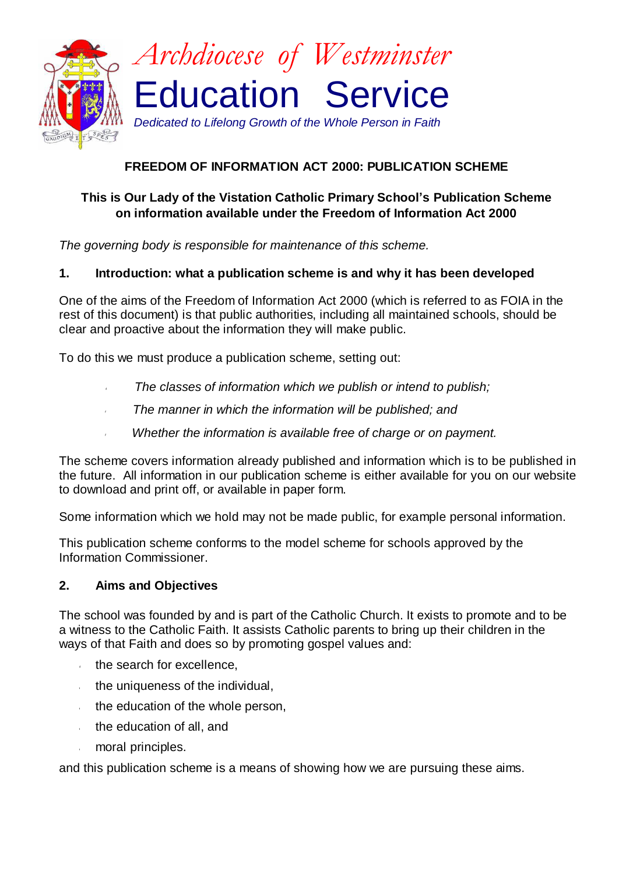

# **FREEDOM OF INFORMATION ACT 2000: PUBLICATION SCHEME**

### **This is Our Lady of the Vistation Catholic Primary School's Publication Scheme on information available under the Freedom of Information Act 2000**

*The governing body is responsible for maintenance of this scheme.*

### **1. Introduction: what a publication scheme is and why it has been developed**

One of the aims of the Freedom of Information Act 2000 (which is referred to as FOIA in the rest of this document) is that public authorities, including all maintained schools, should be clear and proactive about the information they will make public.

To do this we must produce a publication scheme, setting out:

- *The classes of information which we publish or intend to publish;*
- *The manner in which the information will be published; and*
- *Whether the information is available free of charge or on payment.*

The scheme covers information already published and information which is to be published in the future. All information in our publication scheme is either available for you on our website to download and print off, or available in paper form.

Some information which we hold may not be made public, for example personal information.

This publication scheme conforms to the model scheme for schools approved by the Information Commissioner.

### **2. Aims and Objectives**

The school was founded by and is part of the Catholic Church. It exists to promote and to be a witness to the Catholic Faith. It assists Catholic parents to bring up their children in the ways of that Faith and does so by promoting gospel values and:

- the search for excellence,
- the uniqueness of the individual,  $\hat{r}$
- the education of the whole person,  $\mathcal{L}$
- the education of all, and  $\mathcal{L}$
- moral principles.

and this publication scheme is a means of showing how we are pursuing these aims.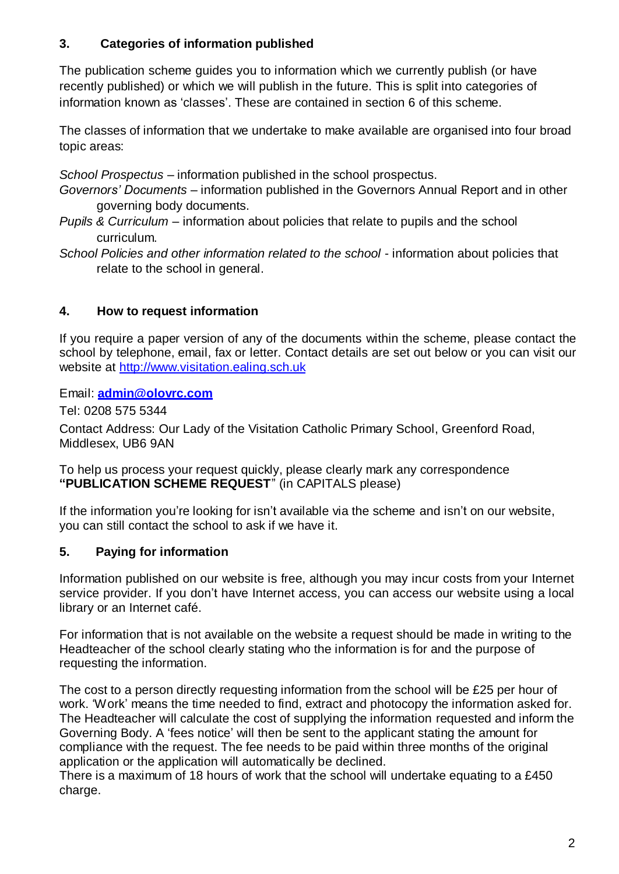# **3. Categories of information published**

The publication scheme guides you to information which we currently publish (or have recently published) or which we will publish in the future. This is split into categories of information known as 'classes'. These are contained in section 6 of this scheme.

The classes of information that we undertake to make available are organised into four broad topic areas:

*School Prospectus* – information published in the school prospectus.

*Governors' Documents* – information published in the Governors Annual Report and in other governing body documents.

- *Pupils & Curriculum* information about policies that relate to pupils and the school curriculum.
- *School Policies and other information related to the school* information about policies that relate to the school in general.

## **4. How to request information**

If you require a paper version of any of the documents within the scheme, please contact the school by telephone, email, fax or letter. Contact details are set out below or you can visit our website at [http://www.visitation.ealing.sch.uk](http://www.visitation.ealing.sch.uk/)

Email: **[admin@olovrc.com](mailto:admin@olovrc.com)**

Tel: 0208 575 5344

Contact Address: Our Lady of the Visitation Catholic Primary School, Greenford Road, Middlesex, UB6 9AN

To help us process your request quickly, please clearly mark any correspondence **"PUBLICATION SCHEME REQUEST**" (in CAPITALS please)

If the information you're looking for isn't available via the scheme and isn't on our website, you can still contact the school to ask if we have it.

## **5. Paying for information**

Information published on our website is free, although you may incur costs from your Internet service provider. If you don't have Internet access, you can access our website using a local library or an Internet café.

For information that is not available on the website a request should be made in writing to the Headteacher of the school clearly stating who the information is for and the purpose of requesting the information.

The cost to a person directly requesting information from the school will be £25 per hour of work. 'Work' means the time needed to find, extract and photocopy the information asked for. The Headteacher will calculate the cost of supplying the information requested and inform the Governing Body. A 'fees notice' will then be sent to the applicant stating the amount for compliance with the request. The fee needs to be paid within three months of the original application or the application will automatically be declined.

There is a maximum of 18 hours of work that the school will undertake equating to a £450 charge.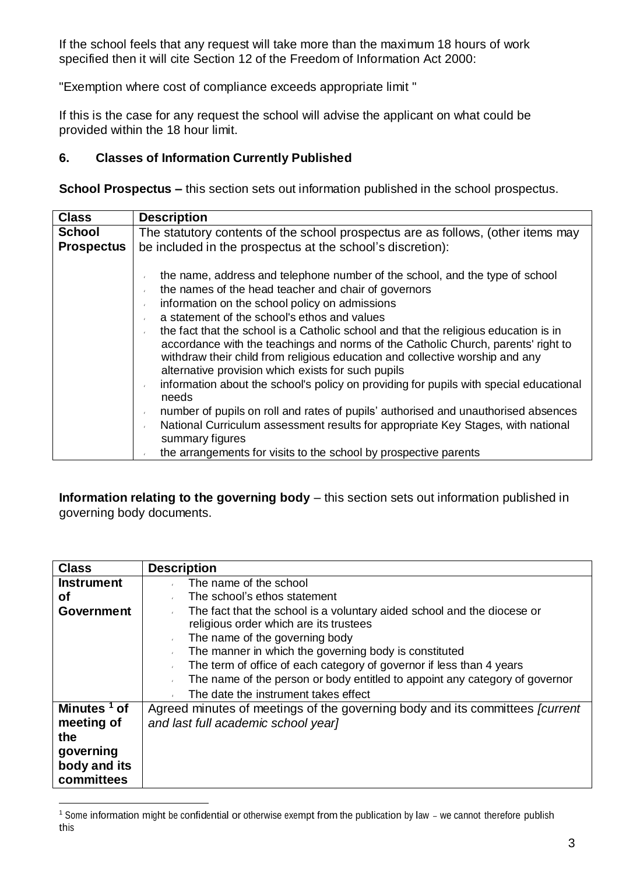If the school feels that any request will take more than the maximum 18 hours of work specified then it will cite Section 12 of the Freedom of Information Act 2000:

"Exemption where cost of compliance exceeds appropriate limit "

If this is the case for any request the school will advise the applicant on what could be provided within the 18 hour limit.

### **6. Classes of Information Currently Published**

**School Prospectus –** this section sets out information published in the school prospectus.

| <b>Class</b>                       | <b>Description</b>                                                                                                                                                                                                                                                                                                                                                                                                                                                                                                                                                                                                                                                                                                                                                                                                                                                                                                            |
|------------------------------------|-------------------------------------------------------------------------------------------------------------------------------------------------------------------------------------------------------------------------------------------------------------------------------------------------------------------------------------------------------------------------------------------------------------------------------------------------------------------------------------------------------------------------------------------------------------------------------------------------------------------------------------------------------------------------------------------------------------------------------------------------------------------------------------------------------------------------------------------------------------------------------------------------------------------------------|
| <b>School</b><br><b>Prospectus</b> | The statutory contents of the school prospectus are as follows, (other items may<br>be included in the prospectus at the school's discretion):                                                                                                                                                                                                                                                                                                                                                                                                                                                                                                                                                                                                                                                                                                                                                                                |
|                                    | the name, address and telephone number of the school, and the type of school<br>the names of the head teacher and chair of governors<br>information on the school policy on admissions<br>a statement of the school's ethos and values<br>the fact that the school is a Catholic school and that the religious education is in<br>accordance with the teachings and norms of the Catholic Church, parents' right to<br>withdraw their child from religious education and collective worship and any<br>alternative provision which exists for such pupils<br>information about the school's policy on providing for pupils with special educational<br>needs<br>number of pupils on roll and rates of pupils' authorised and unauthorised absences<br>National Curriculum assessment results for appropriate Key Stages, with national<br>summary figures<br>the arrangements for visits to the school by prospective parents |

**Information relating to the governing body** – this section sets out information published in governing body documents.

| <b>Class</b>                            | <b>Description</b>                                                                                                                                                                                                                                                                                                                                                  |
|-----------------------------------------|---------------------------------------------------------------------------------------------------------------------------------------------------------------------------------------------------------------------------------------------------------------------------------------------------------------------------------------------------------------------|
| <b>Instrument</b>                       | The name of the school                                                                                                                                                                                                                                                                                                                                              |
| <b>of</b>                               | The school's ethos statement                                                                                                                                                                                                                                                                                                                                        |
| <b>Government</b>                       | The fact that the school is a voluntary aided school and the diocese or<br>religious order which are its trustees<br>The name of the governing body<br>The manner in which the governing body is constituted<br>The term of office of each category of governor if less than 4 years<br>The name of the person or body entitled to appoint any category of governor |
|                                         | The date the instrument takes effect                                                                                                                                                                                                                                                                                                                                |
| Minutes <sup>1</sup> of                 | Agreed minutes of meetings of the governing body and its committees <i>[current</i> ]                                                                                                                                                                                                                                                                               |
| meeting of                              | and last full academic school year]                                                                                                                                                                                                                                                                                                                                 |
| the                                     |                                                                                                                                                                                                                                                                                                                                                                     |
| governing<br>body and its<br>committees |                                                                                                                                                                                                                                                                                                                                                                     |

<sup>&</sup>lt;sup>1</sup> Some information might be confidential or otherwise exempt from the publication by law – we cannot therefore publish this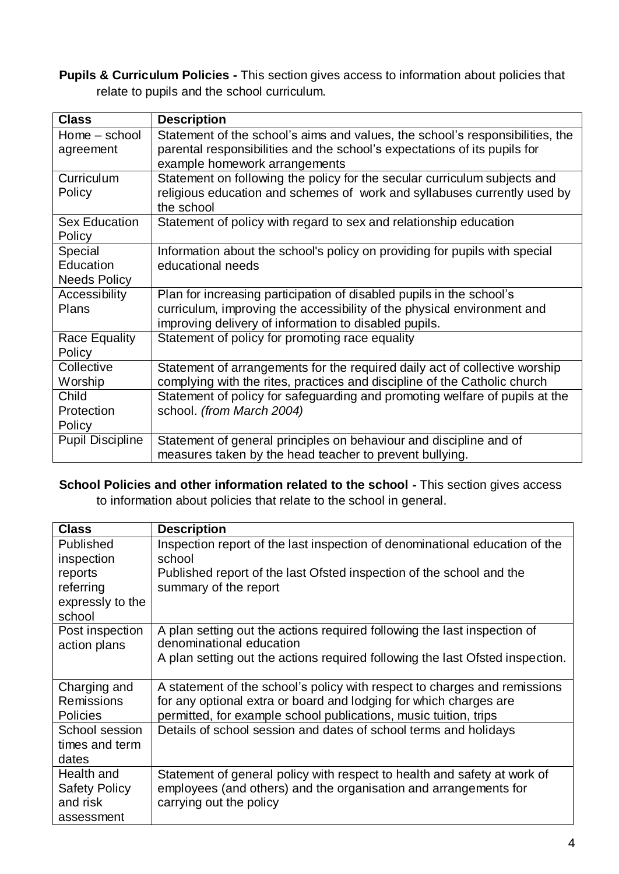**Pupils & Curriculum Policies -** This section gives access to information about policies that relate to pupils and the school curriculum.

| <b>Class</b>            | <b>Description</b>                                                            |
|-------------------------|-------------------------------------------------------------------------------|
| Home – school           | Statement of the school's aims and values, the school's responsibilities, the |
| agreement               | parental responsibilities and the school's expectations of its pupils for     |
|                         | example homework arrangements                                                 |
| Curriculum              | Statement on following the policy for the secular curriculum subjects and     |
| Policy                  | religious education and schemes of work and syllabuses currently used by      |
|                         | the school                                                                    |
| <b>Sex Education</b>    | Statement of policy with regard to sex and relationship education             |
| Policy                  |                                                                               |
| Special                 | Information about the school's policy on providing for pupils with special    |
| Education               | educational needs                                                             |
| <b>Needs Policy</b>     |                                                                               |
| Accessibility           | Plan for increasing participation of disabled pupils in the school's          |
| <b>Plans</b>            | curriculum, improving the accessibility of the physical environment and       |
|                         | improving delivery of information to disabled pupils.                         |
| <b>Race Equality</b>    | Statement of policy for promoting race equality                               |
| Policy                  |                                                                               |
| Collective              | Statement of arrangements for the required daily act of collective worship    |
| Worship                 | complying with the rites, practices and discipline of the Catholic church     |
| Child                   | Statement of policy for safeguarding and promoting welfare of pupils at the   |
| Protection              | school. (from March 2004)                                                     |
| Policy                  |                                                                               |
| <b>Pupil Discipline</b> | Statement of general principles on behaviour and discipline and of            |
|                         | measures taken by the head teacher to prevent bullying.                       |

**School Policies and other information related to the school -** This section gives access to information about policies that relate to the school in general.

| <b>Class</b>                    | <b>Description</b>                                                                                   |
|---------------------------------|------------------------------------------------------------------------------------------------------|
| Published                       | Inspection report of the last inspection of denominational education of the                          |
| inspection                      | school                                                                                               |
| reports                         | Published report of the last Ofsted inspection of the school and the                                 |
| referring                       | summary of the report                                                                                |
| expressly to the                |                                                                                                      |
| school                          |                                                                                                      |
| Post inspection<br>action plans | A plan setting out the actions required following the last inspection of<br>denominational education |
|                                 | A plan setting out the actions required following the last Ofsted inspection.                        |
| Charging and                    | A statement of the school's policy with respect to charges and remissions                            |
| <b>Remissions</b>               | for any optional extra or board and lodging for which charges are                                    |
| <b>Policies</b>                 | permitted, for example school publications, music tuition, trips                                     |
| School session                  | Details of school session and dates of school terms and holidays                                     |
| times and term                  |                                                                                                      |
| dates                           |                                                                                                      |
| Health and                      | Statement of general policy with respect to health and safety at work of                             |
| <b>Safety Policy</b>            | employees (and others) and the organisation and arrangements for                                     |
| and risk                        | carrying out the policy                                                                              |
| assessment                      |                                                                                                      |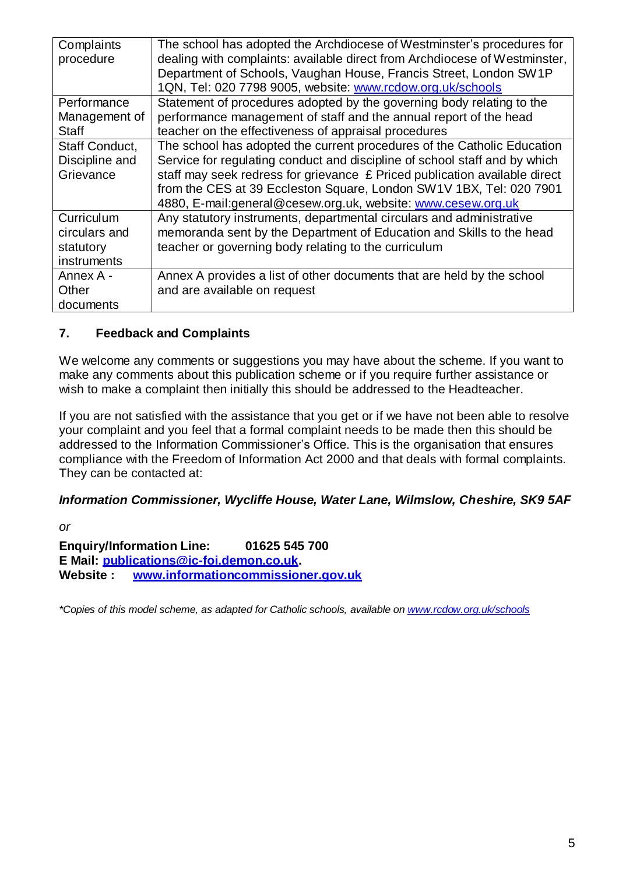| Complaints     | The school has adopted the Archdiocese of Westminster's procedures for     |
|----------------|----------------------------------------------------------------------------|
| procedure      | dealing with complaints: available direct from Archdiocese of Westminster, |
|                | Department of Schools, Vaughan House, Francis Street, London SW1P          |
|                | 1QN, Tel: 020 7798 9005, website: www.rcdow.org.uk/schools                 |
| Performance    | Statement of procedures adopted by the governing body relating to the      |
| Management of  | performance management of staff and the annual report of the head          |
| <b>Staff</b>   | teacher on the effectiveness of appraisal procedures                       |
| Staff Conduct, | The school has adopted the current procedures of the Catholic Education    |
| Discipline and | Service for regulating conduct and discipline of school staff and by which |
| Grievance      | staff may seek redress for grievance £ Priced publication available direct |
|                | from the CES at 39 Eccleston Square, London SW1V 1BX, Tel: 020 7901        |
|                | 4880, E-mail: general@cesew.org.uk, website: www.cesew.org.uk              |
| Curriculum     | Any statutory instruments, departmental circulars and administrative       |
| circulars and  | memoranda sent by the Department of Education and Skills to the head       |
| statutory      | teacher or governing body relating to the curriculum                       |
| instruments    |                                                                            |
| Annex A -      | Annex A provides a list of other documents that are held by the school     |
| Other          | and are available on request                                               |
| documents      |                                                                            |

### **7. Feedback and Complaints**

We welcome any comments or suggestions you may have about the scheme. If you want to make any comments about this publication scheme or if you require further assistance or wish to make a complaint then initially this should be addressed to the Headteacher.

If you are not satisfied with the assistance that you get or if we have not been able to resolve your complaint and you feel that a formal complaint needs to be made then this should be addressed to the Information Commissioner's Office. This is the organisation that ensures compliance with the Freedom of Information Act 2000 and that deals with formal complaints. They can be contacted at:

### *Information Commissioner, Wycliffe House, Water Lane, Wilmslow, Cheshire, SK9 5AF*

*or*

**Enquiry/Information Line: 01625 545 700 E Mail: [publications@ic-foi.demon.co.uk.](mailto:publications@ic-foi.demonco.uk) Website : [www.informationcommissioner.gov.uk](http://www.informationcommissioner.gov.uk/)**

*\*Copies of this model scheme, as adapted for Catholic schools, available on [www.rcdow.org.uk/schools](http://www.rcdow.org.uk/schools)*